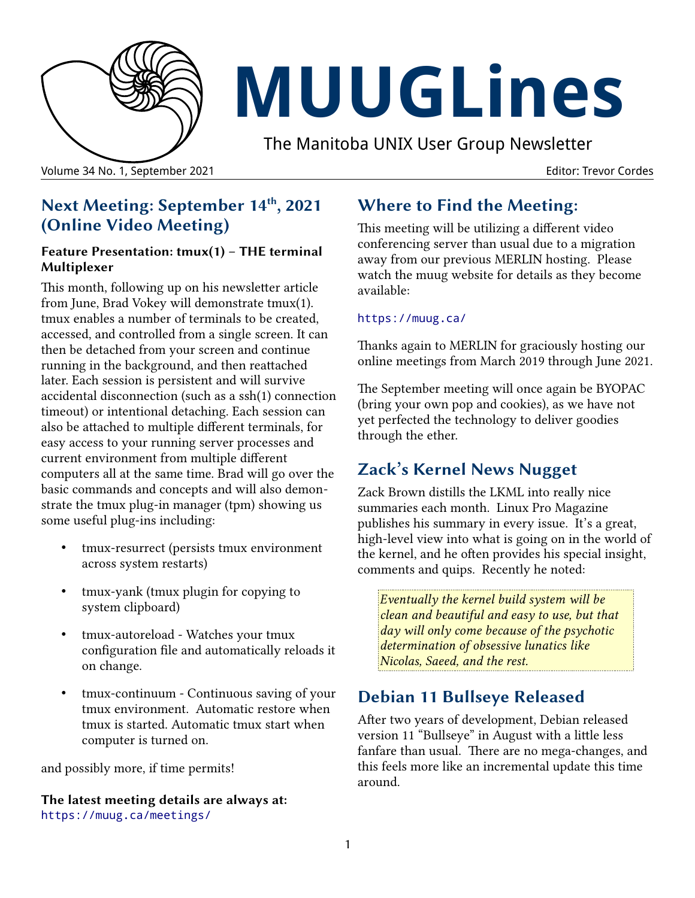

# **MUUGLines**

The Manitoba UNIX User Group Newsletter

Volume 34 No. 1, September 2021 Editor: Trevor Cordes

# **Next Meeting: September 14th, 2021 (Online Video Meeting)**

#### **Feature Presentation: tmux(1) – THE terminal Multiplexer**

This month, following up on his newsletter article from June, Brad Vokey will demonstrate tmux(1). tmux enables a number of terminals to be created, accessed, and controlled from a single screen. It can then be detached from your screen and continue running in the background, and then reattached later. Each session is persistent and will survive accidental disconnection (such as a ssh(1) connection timeout) or intentional detaching. Each session can also be attached to multiple different terminals, for easy access to your running server processes and current environment from multiple different computers all at the same time. Brad will go over the basic commands and concepts and will also demonstrate the tmux plug-in manager (tpm) showing us some useful plug-ins including:

- tmux-resurrect (persists tmux environment across system restarts)
- tmux-yank (tmux plugin for copying to system clipboard)
- tmux-autoreload Watches your tmux configuration file and automatically reloads it on change.
- tmux-continuum Continuous saving of your tmux environment. Automatic restore when tmux is started. Automatic tmux start when computer is turned on.

and possibly more, if time permits!

**The latest meeting details are always at:** <https://muug.ca/meetings/>

# **Where to Find the Meeting:**

This meeting will be utilizing a different video conferencing server than usual due to a migration away from our previous MERLIN hosting. Please watch the muug website for details as they become available:

#### https://muug.ca/

Thanks again to MERLIN for graciously hosting our online meetings from March 2019 through June 2021.

The September meeting will once again be BYOPAC (bring your own pop and cookies), as we have not yet perfected the technology to deliver goodies through the ether.

# **Zack's Kernel News Nugget**

Zack Brown distills the LKML into really nice summaries each month. Linux Pro Magazine publishes his summary in every issue. It's a great, high-level view into what is going on in the world of the kernel, and he often provides his special insight, comments and quips. Recently he noted:

*Eventually the kernel build system will be clean and beautiful and easy to use, but that day will only come because of the psychotic determination of obsessive lunatics like Nicolas, Saeed, and the rest.*

# **Debian 11 Bullseye Released**

After two years of development, Debian released version 11 "Bullseye" in August with a little less fanfare than usual. There are no mega-changes, and this feels more like an incremental update this time around.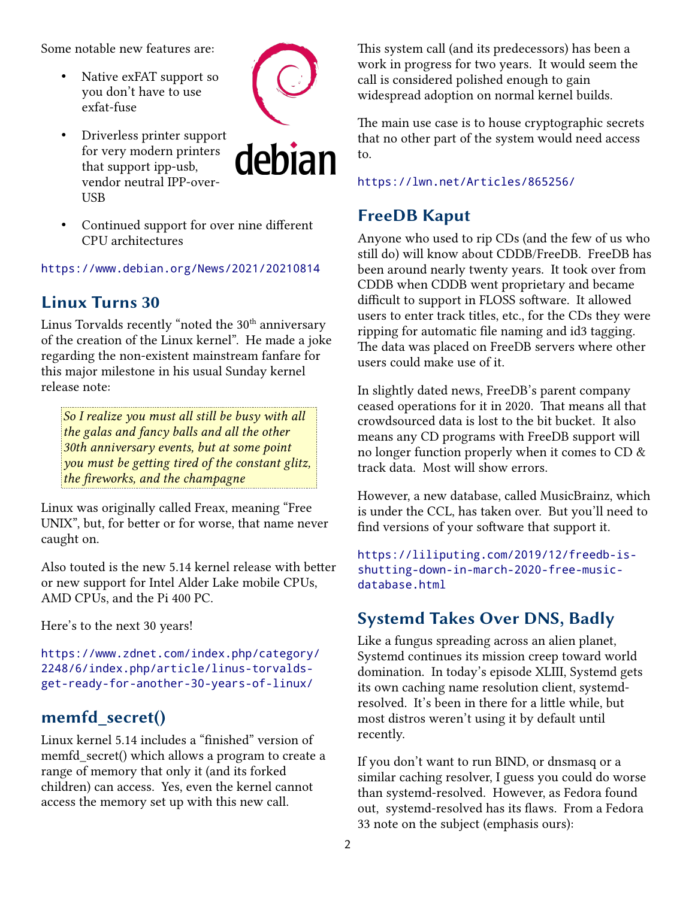Some notable new features are:

• Native exFAT support so you don't have to use exfat-fuse



• Driverless printer support for very modern printers that support ipp-usb, vendor neutral IPP-over-**IISB** 



• Continued support for over nine different CPU architectures

<https://www.debian.org/News/2021/20210814>

#### **Linux Turns 30**

Linus Torvalds recently "noted the  $30^{\rm th}$  anniversary of the creation of the Linux kernel". He made a joke regarding the non-existent mainstream fanfare for this major milestone in his usual Sunday kernel release note:

*So I realize you must all still be busy with all the galas and fancy balls and all the other 30th anniversary events, but at some point you must be getting tired of the constant glitz, the fireworks, and the champagne*

Linux was originally called Freax, meaning "Free UNIX", but, for better or for worse, that name never caught on.

Also touted is the new 5.14 kernel release with better or new support for Intel Alder Lake mobile CPUs, AMD CPUs, and the Pi 400 PC.

Here's to the next 30 years!

[https://www.zdnet.com/index.php/category/](https://www.zdnet.com/index.php/category/2248/6/index.php/article/linus-torvalds-get-ready-for-another-30-years-of-linux/) [2248/6/index.php/article/linus-torvalds](https://www.zdnet.com/index.php/category/2248/6/index.php/article/linus-torvalds-get-ready-for-another-30-years-of-linux/)[get-ready-for-another-30-years-of-linux/](https://www.zdnet.com/index.php/category/2248/6/index.php/article/linus-torvalds-get-ready-for-another-30-years-of-linux/)

#### **memfd\_secret()**

Linux kernel 5.14 includes a "finished" version of memfd secret() which allows a program to create a range of memory that only it (and its forked children) can access. Yes, even the kernel cannot access the memory set up with this new call.

This system call (and its predecessors) has been a work in progress for two years. It would seem the call is considered polished enough to gain widespread adoption on normal kernel builds.

The main use case is to house cryptographic secrets that no other part of the system would need access to.

<https://lwn.net/Articles/865256/>

#### **FreeDB Kaput**

Anyone who used to rip CDs (and the few of us who still do) will know about CDDB/FreeDB. FreeDB has been around nearly twenty years. It took over from CDDB when CDDB went proprietary and became difficult to support in FLOSS software. It allowed users to enter track titles, etc., for the CDs they were ripping for automatic file naming and id3 tagging. The data was placed on FreeDB servers where other users could make use of it.

In slightly dated news, FreeDB's parent company ceased operations for it in 2020. That means all that crowdsourced data is lost to the bit bucket. It also means any CD programs with FreeDB support will no longer function properly when it comes to CD & track data. Most will show errors.

However, a new database, called MusicBrainz, which is under the CCL, has taken over. But you'll need to find versions of your software that support it.

[https://liliputing.com/2019/12/freedb-is](https://liliputing.com/2019/12/freedb-is-shutting-down-in-march-2020-free-music-database.html)[shutting-down-in-march-2020-free-music](https://liliputing.com/2019/12/freedb-is-shutting-down-in-march-2020-free-music-database.html)[database.html](https://liliputing.com/2019/12/freedb-is-shutting-down-in-march-2020-free-music-database.html)

## **Systemd Takes Over DNS, Badly**

Like a fungus spreading across an alien planet, Systemd continues its mission creep toward world domination. In today's episode XLIII, Systemd gets its own caching name resolution client, systemdresolved. It's been in there for a little while, but most distros weren't using it by default until recently.

If you don't want to run BIND, or dnsmasq or a similar caching resolver, I guess you could do worse than systemd-resolved. However, as Fedora found out, systemd-resolved has its flaws. From a Fedora 33 note on the subject (emphasis ours):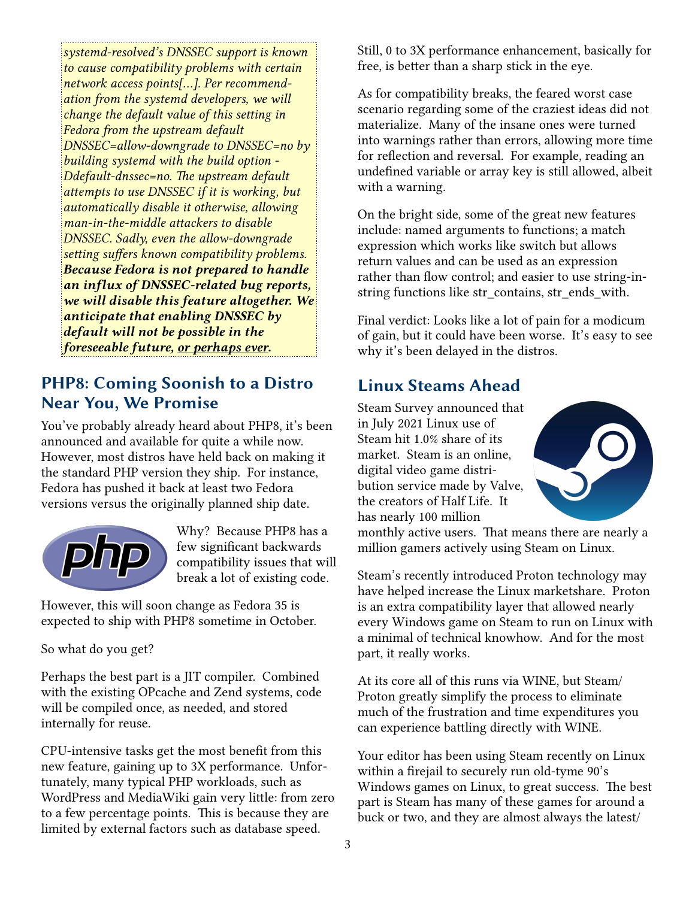*systemd-resolved's DNSSEC support is known to cause compatibility problems with certain network access points[...]. Per recommendation from the systemd developers, we will change the default value of this setting in Fedora from the upstream default DNSSEC=allow-downgrade to DNSSEC=no by building systemd with the build option - Ddefault-dnssec=no. The upstream default attempts to use DNSSEC if it is working, but automatically disable it otherwise, allowing man-in-the-middle attackers to disable DNSSEC. Sadly, even the allow-downgrade setting suffers known compatibility problems. Because Fedora is not prepared to handle an influx of DNSSEC-related bug reports, we will disable this feature altogether. We anticipate that enabling DNSSEC by default will not be possible in the foreseeable future, or perhaps ever.*

## **PHP8: Coming Soonish to a Distro Near You, We Promise**

You've probably already heard about PHP8, it's been announced and available for quite a while now. However, most distros have held back on making it the standard PHP version they ship. For instance, Fedora has pushed it back at least two Fedora versions versus the originally planned ship date.



Why? Because PHP8 has a few significant backwards compatibility issues that will break a lot of existing code.

However, this will soon change as Fedora 35 is expected to ship with PHP8 sometime in October.

So what do you get?

Perhaps the best part is a JIT compiler. Combined with the existing OPcache and Zend systems, code will be compiled once, as needed, and stored internally for reuse.

CPU-intensive tasks get the most benefit from this new feature, gaining up to 3X performance. Unfortunately, many typical PHP workloads, such as WordPress and MediaWiki gain very little: from zero to a few percentage points. This is because they are limited by external factors such as database speed.

Still, 0 to 3X performance enhancement, basically for free, is better than a sharp stick in the eye.

As for compatibility breaks, the feared worst case scenario regarding some of the craziest ideas did not materialize. Many of the insane ones were turned into warnings rather than errors, allowing more time for reflection and reversal. For example, reading an undefined variable or array key is still allowed, albeit with a warning.

On the bright side, some of the great new features include: named arguments to functions; a match expression which works like switch but allows return values and can be used as an expression rather than flow control; and easier to use string-instring functions like str\_contains, str\_ends\_with.

Final verdict: Looks like a lot of pain for a modicum of gain, but it could have been worse. It's easy to see why it's been delayed in the distros.

## **Linux Steams Ahead**

Steam Survey announced that in July 2021 Linux use of Steam hit 1.0% share of its market. Steam is an online, digital video game distribution service made by Valve, the creators of Half Life. It has nearly 100 million



monthly active users. That means there are nearly a million gamers actively using Steam on Linux.

Steam's recently introduced Proton technology may have helped increase the Linux marketshare. Proton is an extra compatibility layer that allowed nearly every Windows game on Steam to run on Linux with a minimal of technical knowhow. And for the most part, it really works.

At its core all of this runs via WINE, but Steam/ Proton greatly simplify the process to eliminate much of the frustration and time expenditures you can experience battling directly with WINE.

Your editor has been using Steam recently on Linux within a firejail to securely run old-tyme 90's Windows games on Linux, to great success. The best part is Steam has many of these games for around a buck or two, and they are almost always the latest/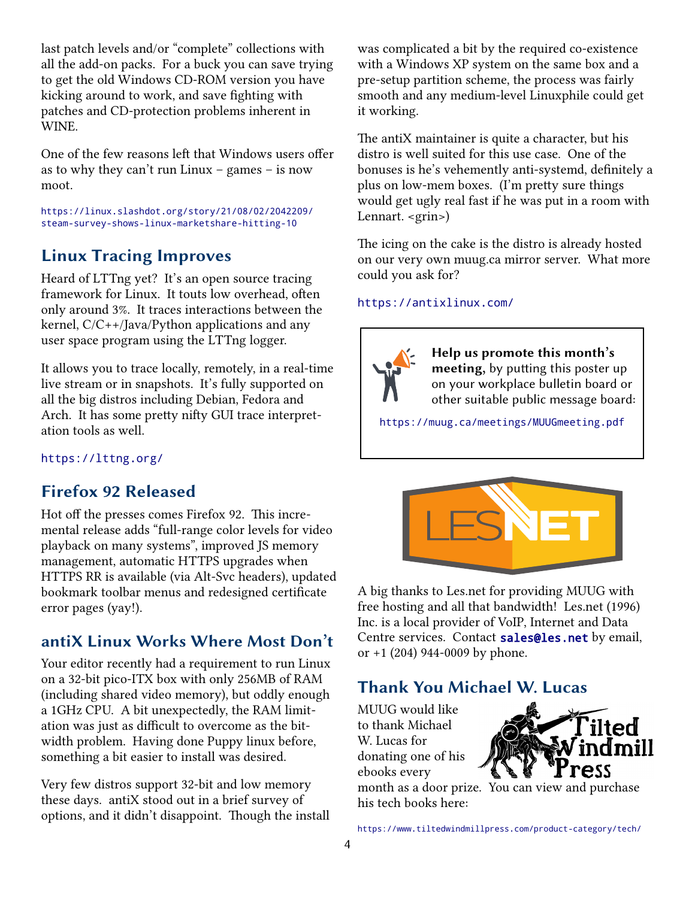last patch levels and/or "complete" collections with all the add-on packs. For a buck you can save trying to get the old Windows CD-ROM version you have kicking around to work, and save fighting with patches and CD-protection problems inherent in WINE.

One of the few reasons left that Windows users offer as to why they can't run Linux – games – is now moot.

[https://linux.slashdot.org/story/21/08/02/2042209/](https://linux.slashdot.org/story/21/08/02/2042209/steam-survey-shows-linux-marketshare-hitting-10) [steam-survey-shows-linux-marketshare-hitting-10](https://linux.slashdot.org/story/21/08/02/2042209/steam-survey-shows-linux-marketshare-hitting-10)

## **Linux Tracing Improves**

Heard of LTTng yet? It's an open source tracing framework for Linux. It touts low overhead, often only around 3%. It traces interactions between the kernel, C/C++/Java/Python applications and any user space program using the LTTng logger.

It allows you to trace locally, remotely, in a real-time live stream or in snapshots. It's fully supported on all the big distros including Debian, Fedora and Arch. It has some pretty nifty GUI trace interpretation tools as well.

<https://lttng.org/>

## **Firefox 92 Released**

Hot off the presses comes Firefox 92. This incremental release adds "full-range color levels for video playback on many systems", improved JS memory management, automatic HTTPS upgrades when HTTPS RR is available (via Alt-Svc headers), updated bookmark toolbar menus and redesigned certificate error pages (yay!).

## **antiX Linux Works Where Most Don't**

Your editor recently had a requirement to run Linux on a 32-bit pico-ITX box with only 256MB of RAM (including shared video memory), but oddly enough a 1GHz CPU. A bit unexpectedly, the RAM limitation was just as difficult to overcome as the bitwidth problem. Having done Puppy linux before, something a bit easier to install was desired.

Very few distros support 32-bit and low memory these days. antiX stood out in a brief survey of options, and it didn't disappoint. Though the install was complicated a bit by the required co-existence with a Windows XP system on the same box and a pre-setup partition scheme, the process was fairly smooth and any medium-level Linuxphile could get it working.

The antiX maintainer is quite a character, but his distro is well suited for this use case. One of the bonuses is he's vehemently anti-systemd, definitely a plus on low-mem boxes. (I'm pretty sure things would get ugly real fast if he was put in a room with Lennart. <grin>)

The icing on the cake is the distro is already hosted on our very own muug.ca mirror server. What more could you ask for?

#### <https://antixlinux.com/>



**Help us promote this month's meeting,** by putting this poster up on your workplace bulletin board or other suitable public message board:

<https://muug.ca/meetings/MUUGmeeting.pdf>



A big thanks to Les.net for providing MUUG with free hosting and all that bandwidth! Les.net (1996) Inc. is a local provider of VoIP, Internet and Data Centre services. Contact [sales@les.net](mailto:sales@les.net) by email, or +1 (204) 944-0009 by phone.

# **Thank You Michael W. Lucas**

MUUG would like to thank Michael W. Lucas for donating one of his ebooks every



month as a door prize. You can view and purchase his tech books here:

<https://www.tiltedwindmillpress.com/product-category/tech/>